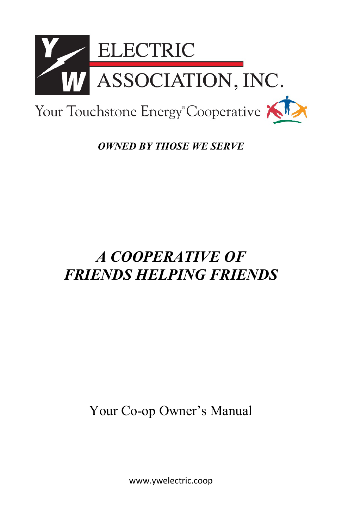

*OWNED BY THOSE WE SERVE*

# *A COOPERATIVE OF FRIENDS HELPING FRIENDS*

Your Co-op Owner's Manual

www.ywelectric.coop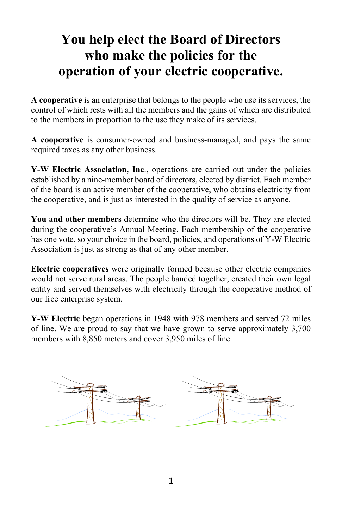# **You help elect the Board of Directors who make the policies for the operation of your electric cooperative.**

**A cooperative** is an enterprise that belongs to the people who use its services, the control of which rests with all the members and the gains of which are distributed to the members in proportion to the use they make of its services.

**A cooperative** is consumer-owned and business-managed, and pays the same required taxes as any other business.

**Y-W Electric Association, Inc**., operations are carried out under the policies established by a nine-member board of directors, elected by district. Each member of the board is an active member of the cooperative, who obtains electricity from the cooperative, and is just as interested in the quality of service as anyone.

**You and other members** determine who the directors will be. They are elected during the cooperative's Annual Meeting. Each membership of the cooperative has one vote, so your choice in the board, policies, and operations of Y-W Electric Association is just as strong as that of any other member.

**Electric cooperatives** were originally formed because other electric companies would not serve rural areas. The people banded together, created their own legal entity and served themselves with electricity through the cooperative method of our free enterprise system.

**Y-W Electric** began operations in 1948 with 978 members and served 72 miles of line. We are proud to say that we have grown to serve approximately 3,700 members with 8,850 meters and cover 3,950 miles of line.

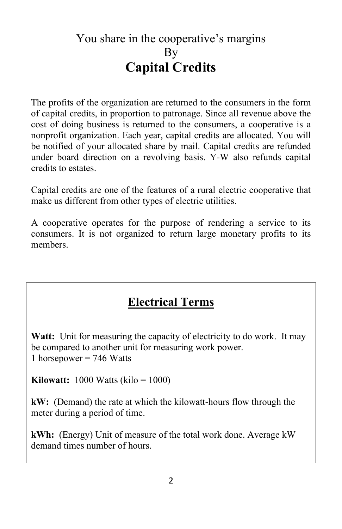# You share in the cooperative's margins By **Capital Credits**

The profits of the organization are returned to the consumers in the form of capital credits, in proportion to patronage. Since all revenue above the cost of doing business is returned to the consumers, a cooperative is a nonprofit organization. Each year, capital credits are allocated. You will be notified of your allocated share by mail. Capital credits are refunded under board direction on a revolving basis. Y-W also refunds capital credits to estates.

Capital credits are one of the features of a rural electric cooperative that make us different from other types of electric utilities.

A cooperative operates for the purpose of rendering a service to its consumers. It is not organized to return large monetary profits to its members.

### **Electrical Terms**

**Watt:** Unit for measuring the capacity of electricity to do work. It may be compared to another unit for measuring work power. 1 horsepower  $= 746$  Watts

**Kilowatt:** 1000 Watts (kilo = 1000)

**kW:** (Demand) the rate at which the kilowatt-hours flow through the meter during a period of time.

**kWh:** (Energy) Unit of measure of the total work done. Average kW demand times number of hours.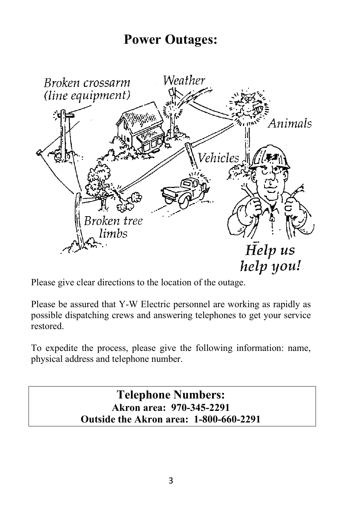# **Power Outages:**



Please give clear directions to the location of the outage.

Please be assured that Y-W Electric personnel are working as rapidly as possible dispatching crews and answering telephones to get your service restored.

To expedite the process, please give the following information: name, physical address and telephone number.

> **Telephone Numbers: Akron area: 970-345-2291 Outside the Akron area: 1-800-660-2291**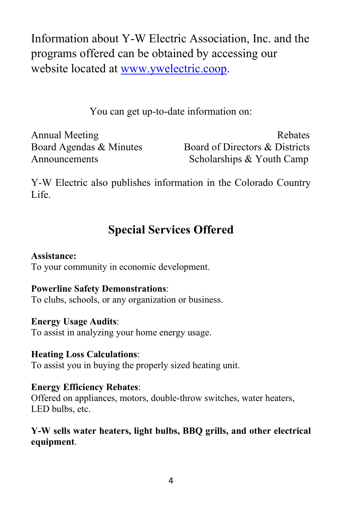Information about Y-W Electric Association, Inc. and the programs offered can be obtained by accessing our website located at [www.ywelectric.coop.](http://www.ywelectric.coop/)

You can get up-to-date information on:

Annual Meeting Rebates Board Agendas & Minutes Board of Directors & Districts Announcements Scholarships & Youth Camp

Y-W Electric also publishes information in the Colorado Country Life.

# **Special Services Offered**

#### **Assistance:**

To your community in economic development.

#### **Powerline Safety Demonstrations**:

To clubs, schools, or any organization or business.

#### **Energy Usage Audits**:

To assist in analyzing your home energy usage.

#### **Heating Loss Calculations**:

To assist you in buying the properly sized heating unit.

#### **Energy Efficiency Rebates**:

Offered on appliances, motors, double-throw switches, water heaters, LED bulbs, etc.

#### **Y-W sells water heaters, light bulbs, BBQ grills, and other electrical equipment**.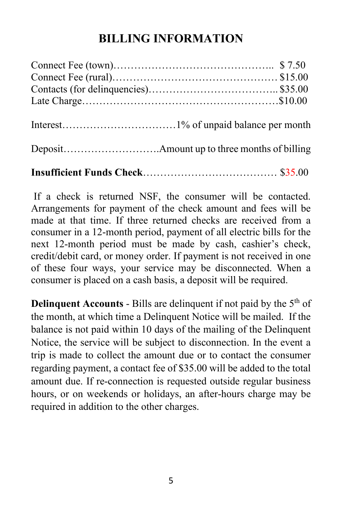### **BILLING INFORMATION**

**Insufficient Funds Check**………………………………… \$35.00

If a check is returned NSF, the consumer will be contacted. Arrangements for payment of the check amount and fees will be made at that time. If three returned checks are received from a consumer in a 12-month period, payment of all electric bills for the next 12-month period must be made by cash, cashier's check, credit/debit card, or money order. If payment is not received in one of these four ways, your service may be disconnected. When a consumer is placed on a cash basis, a deposit will be required.

**Delinquent Accounts** - Bills are delinquent if not paid by the  $5<sup>th</sup>$  of the month, at which time a Delinquent Notice will be mailed. If the balance is not paid within 10 days of the mailing of the Delinquent Notice, the service will be subject to disconnection. In the event a trip is made to collect the amount due or to contact the consumer regarding payment, a contact fee of \$35.00 will be added to the total amount due. If re-connection is requested outside regular business hours, or on weekends or holidays, an after-hours charge may be required in addition to the other charges.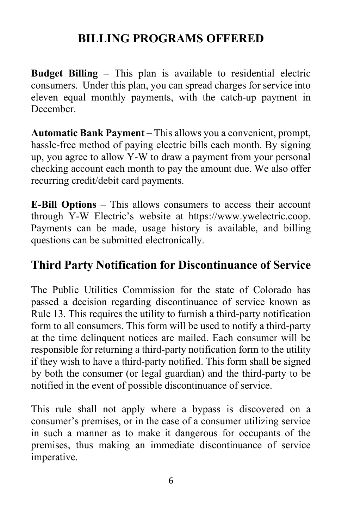# **BILLING PROGRAMS OFFERED**

**Budget Billing –** This plan is available to residential electric consumers. Under this plan, you can spread charges for service into eleven equal monthly payments, with the catch-up payment in December.

**Automatic Bank Payment –** This allows you a convenient, prompt, hassle-free method of paying electric bills each month. By signing up, you agree to allow Y-W to draw a payment from your personal checking account each month to pay the amount due. We also offer recurring credit/debit card payments.

**E-Bill Options** – This allows consumers to access their account through Y-W Electric's website at https://www.ywelectric.coop. Payments can be made, usage history is available, and billing questions can be submitted electronically.

### **Third Party Notification for Discontinuance of Service**

The Public Utilities Commission for the state of Colorado has passed a decision regarding discontinuance of service known as Rule 13. This requires the utility to furnish a third-party notification form to all consumers. This form will be used to notify a third-party at the time delinquent notices are mailed. Each consumer will be responsible for returning a third-party notification form to the utility if they wish to have a third-party notified. This form shall be signed by both the consumer (or legal guardian) and the third-party to be notified in the event of possible discontinuance of service.

This rule shall not apply where a bypass is discovered on a consumer's premises, or in the case of a consumer utilizing service in such a manner as to make it dangerous for occupants of the premises, thus making an immediate discontinuance of service imperative.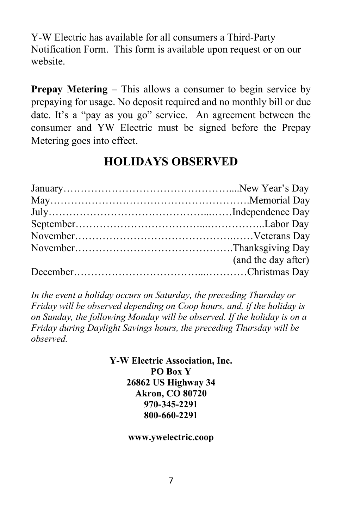Y-W Electric has available for all consumers a Third-Party Notification Form. This form is available upon request or on our website.

**Prepay Metering –** This allows a consumer to begin service by prepaying for usage. No deposit required and no monthly bill or due date. It's a "pay as you go" service. An agreement between the consumer and YW Electric must be signed before the Prepay Metering goes into effect.

### **HOLIDAYS OBSERVED**

| (and the day after) |
|---------------------|
|                     |

*In the event a holiday occurs on Saturday, the preceding Thursday or Friday will be observed depending on Coop hours, and, if the holiday is on Sunday, the following Monday will be observed. If the holiday is on a Friday during Daylight Savings hours, the preceding Thursday will be observed.*

> **Y-W Electric Association, Inc. PO Box Y 26862 US Highway 34 Akron, CO 80720 970-345-2291 800-660-2291**

> > **www.ywelectric.coop**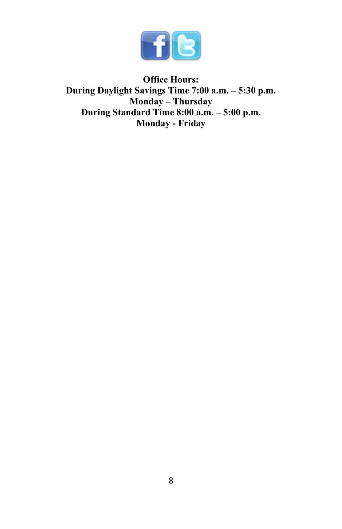

**Office Hours: During Daylight Savings Time 7:00 a.m. – 5:30 p.m. Monday – Thursday During Standard Time 8:00 a.m. – 5:00 p.m. Monday - Friday**